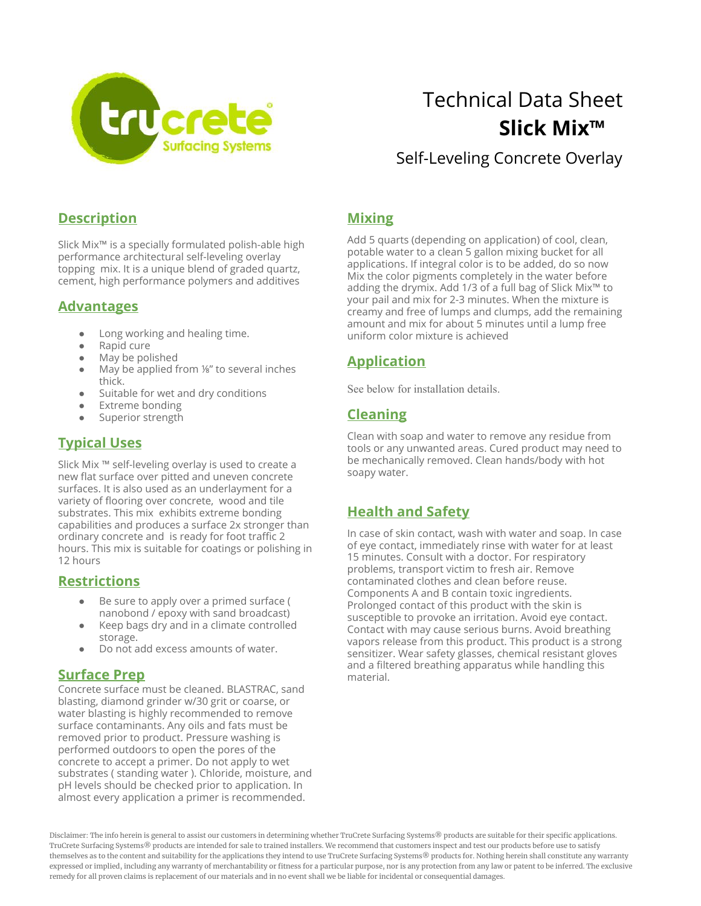

# Technical Data Sheet  **Slick Mix™**

Self-Leveling Concrete Overlay

#### **Description**

Slick Mix™ is a specially formulated polish-able high performance architectural self-leveling overlay topping mix. It is a unique blend of graded quartz, cement, high performance polymers and additives

#### **Advantages**

- Long working and healing time.
- Rapid cure
- May be polished
- May be applied from <sup>1⁄8</sup>″ to several inches thick.
- Suitable for wet and dry conditions
- **Extreme bonding**
- Superior strength

# **Typical Uses**

Slick Mix ™ self-leveling overlay is used to create a new flat surface over pitted and uneven concrete surfaces. It is also used as an underlayment for a variety of flooring over concrete, wood and tile substrates. This mix exhibits extreme bonding capabilities and produces a surface 2x stronger than ordinary concrete and is ready for foot traffic 2 hours. This mix is suitable for coatings or polishing in 12 hours

#### **Restrictions**

- Be sure to apply over a primed surface ( nanobond / epoxy with sand broadcast)
- Keep bags dry and in a climate controlled storage.
- Do not add excess amounts of water.

# **Surface Prep**

Concrete surface must be cleaned. BLASTRAC, sand blasting, diamond grinder w/30 grit or coarse, or water blasting is highly recommended to remove surface contaminants. Any oils and fats must be removed prior to product. Pressure washing is performed outdoors to open the pores of the concrete to accept a primer. Do not apply to wet substrates ( standing water ). Chloride, moisture, and pH levels should be checked prior to application. In almost every application a primer is recommended.

### **Mixing**

Add 5 quarts (depending on application) of cool, clean, potable water to a clean 5 gallon mixing bucket for all applications. If integral color is to be added, do so now Mix the color pigments completely in the water before adding the drymix. Add 1/3 of a full bag of Slick Mix™ to your pail and mix for 2-3 minutes. When the mixture is creamy and free of lumps and clumps, add the remaining amount and mix for about 5 minutes until a lump free uniform color mixture is achieved

# **Application**

See below for installation details.

#### **Cleaning**

Clean with soap and water to remove any residue from tools or any unwanted areas. Cured product may need to be mechanically removed. Clean hands/body with hot soapy water.

# **Health and Safety**

In case of skin contact, wash with water and soap. In case of eye contact, immediately rinse with water for at least 15 minutes. Consult with a doctor. For respiratory problems, transport victim to fresh air. Remove contaminated clothes and clean before reuse. Components A and B contain toxic ingredients. Prolonged contact of this product with the skin is susceptible to provoke an irritation. Avoid eye contact. Contact with may cause serious burns. Avoid breathing vapors release from this product. This product is a strong sensitizer. Wear safety glasses, chemical resistant gloves and a filtered breathing apparatus while handling this material.

Disclaimer: The info herein is general to assist our customers in determining whether TruCrete Surfacing Systems® products are suitable for their specific applications. TruCrete Surfacing Systems® products are intended for sale to trained installers. We recommend that customers inspect and test our products before use to satisfy themselves as to the content and suitability for the applications they intend to use TruCrete Surfacing Systems® products for. Nothing herein shall constitute any warranty expressed or implied, including any warranty of merchantability or fitness for a particular purpose, nor is any protection from any law or patent to be inferred. The exclusive remedy for all proven claims is replacement of our materials and in no event shall we be liable for incidental or consequential damages.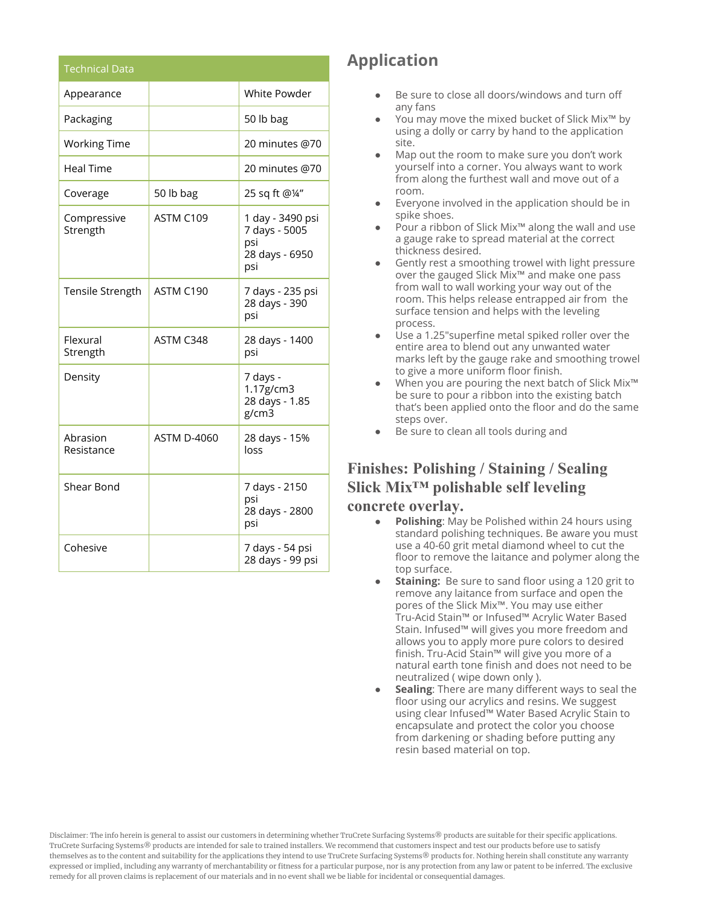| <b>Technical Data</b>   |                    |                                                                   |
|-------------------------|--------------------|-------------------------------------------------------------------|
| Appearance              |                    | <b>White Powder</b>                                               |
| Packaging               |                    | 50 lb bag                                                         |
| <b>Working Time</b>     |                    | 20 minutes @70                                                    |
| <b>Heal Time</b>        |                    | 20 minutes @70                                                    |
| Coverage                | 50 lb bag          | 25 sq ft @1/4"                                                    |
| Compressive<br>Strength | ASTM C109          | 1 day - 3490 psi<br>7 days - 5005<br>psi<br>28 days - 6950<br>psi |
| Tensile Strength        | ASTM C190          | 7 days - 235 psi<br>28 days - 390<br>psi                          |
| Flexural<br>Strength    | ASTM C348          | 28 days - 1400<br>psi                                             |
| Density                 |                    | 7 days -<br>1.17g/cm3<br>28 days - 1.85<br>g/cm3                  |
| Abrasion<br>Resistance  | <b>ASTM D-4060</b> | 28 days - 15%<br>loss                                             |
| Shear Bond              |                    | 7 days - 2150<br>psi<br>28 days - 2800<br>psi                     |
| Cohesive                |                    | 7 days - 54 psi<br>28 days - 99 psi                               |

# **Application**

- Be sure to close all doors/windows and turn off any fans
- You may move the mixed bucket of Slick Mix™ by using a dolly or carry by hand to the application site.
- Map out the room to make sure you don't work yourself into a corner. You always want to work from along the furthest wall and move out of a room.
- Everyone involved in the application should be in spike shoes.
- Pour a ribbon of Slick Mix<sup>™</sup> along the wall and use a gauge rake to spread material at the correct thickness desired.
- Gently rest a smoothing trowel with light pressure over the gauged Slick Mix™ and make one pass from wall to wall working your way out of the room. This helps release entrapped air from the surface tension and helps with the leveling process.
- Use a 1.25" superfine metal spiked roller over the entire area to blend out any unwanted water marks left by the gauge rake and smoothing trowel to give a more uniform floor finish.
- When you are pouring the next batch of Slick Mix<sup>™</sup> be sure to pour a ribbon into the existing batch that's been applied onto the floor and do the same steps over.
- Be sure to clean all tools during and

# **Finishes: Polishing / Staining / Sealing Slick Mix™ polishable self leveling**

#### **concrete overlay.**

- **Polishing**: May be Polished within 24 hours using standard polishing techniques. Be aware you must use a 40-60 grit metal diamond wheel to cut the floor to remove the laitance and polymer along the top surface.
- **Staining:** Be sure to sand floor using a 120 grit to remove any laitance from surface and open the pores of the Slick Mix™. You may use either Tru-Acid Stain™ or Infused™ Acrylic Water Based Stain. Infused™ will gives you more freedom and allows you to apply more pure colors to desired finish. Tru-Acid Stain™ will give you more of a natural earth tone finish and does not need to be neutralized ( wipe down only ).
- **Sealing:** There are many different ways to seal the floor using our acrylics and resins. We suggest using clear Infused™ Water Based Acrylic Stain to encapsulate and protect the color you choose from darkening or shading before putting any resin based material on top.

Disclaimer: The info herein is general to assist our customers in determining whether TruCrete Surfacing Systems® products are suitable for their specific applications. TruCrete Surfacing Systems® products are intended for sale to trained installers. We recommend that customers inspect and test our products before use to satisfy themselves as to the content and suitability for the applications they intend to use TruCrete Surfacing Systems® products for. Nothing herein shall constitute any warranty expressed or implied, including any warranty of merchantability or fitness for a particular purpose, nor is any protection from any law or patent to be inferred. The exclusive remedy for all proven claims is replacement of our materials and in no event shall we be liable for incidental or consequential damages.